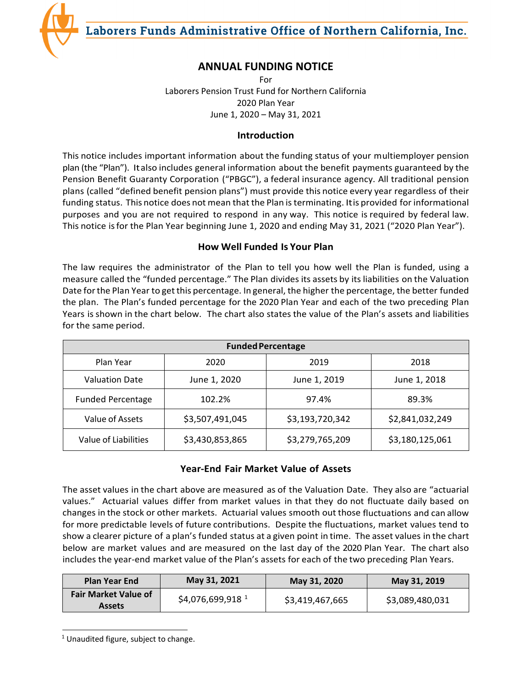Laborers Funds Administrative Office of Northern California, Inc.



For Laborers Pension Trust Fund for Northern California 2020 Plan Year June 1, 2020 – May 31, 2021

# **Introduction**

This notice includes important information about the funding status of your multiemployer pension plan (the "Plan"). Italso includes general information about the benefit payments guaranteed by the Pension Benefit Guaranty Corporation ("PBGC"), a federal insurance agency. All traditional pension plans (called "defined benefit pension plans") must provide this notice every year regardless of their funding status. This notice does not mean that the Plan is terminating. Itis provided for informational purposes and you are not required to respond in any way. This notice is required by federal law. This notice isfor the Plan Year beginning June 1, 2020 and ending May 31, 2021 ("2020 Plan Year").

# **How Well Funded Is Your Plan**

The law requires the administrator of the Plan to tell you how well the Plan is funded, using a measure called the "funded percentage." The Plan divides its assets by its liabilities on the Valuation Date forthe Plan Year to getthis percentage. In general, the higher the percentage, the better funded the plan. The Plan's funded percentage for the 2020 Plan Year and each of the two preceding Plan Years is shown in the chart below. The chart also states the value of the Plan's assets and liabilities for the same period.

| <b>Funded Percentage</b> |                 |                 |                 |  |  |
|--------------------------|-----------------|-----------------|-----------------|--|--|
| Plan Year                | 2020            | 2019            | 2018            |  |  |
| <b>Valuation Date</b>    | June 1, 2020    | June 1, 2019    | June 1, 2018    |  |  |
| <b>Funded Percentage</b> | 102.2%          | 97.4%           | 89.3%           |  |  |
| Value of Assets          | \$3,507,491,045 | \$3,193,720,342 | \$2,841,032,249 |  |  |
| Value of Liabilities     | \$3,430,853,865 | \$3,279,765,209 | \$3,180,125,061 |  |  |

# **Year-End Fair Market Value of Assets**

The asset values in the chart above are measured as of the Valuation Date. They also are "actuarial values." Actuarial values differ from market values in that they do not fluctuate daily based on changes in the stock or other markets. Actuarial values smooth out those fluctuations and can allow for more predictable levels of future contributions. Despite the fluctuations, market values tend to show a clearer picture of a plan's funded status at a given point in time. The asset values in the chart below are market values and are measured on the last day of the 2020 Plan Year. The chart also includes the year-end market value of the Plan's assets for each of the two preceding Plan Years.

| <b>Plan Year End</b>        | May 31, 2021                  | May 31, 2020    | May 31, 2019    |
|-----------------------------|-------------------------------|-----------------|-----------------|
| <b>Fair Market Value of</b> | $$4,076,699,918$ <sup>1</sup> | \$3,419,467,665 | \$3,089,480,031 |
| <b>Assets</b>               |                               |                 |                 |

<span id="page-0-0"></span> $1$  Unaudited figure, subject to change.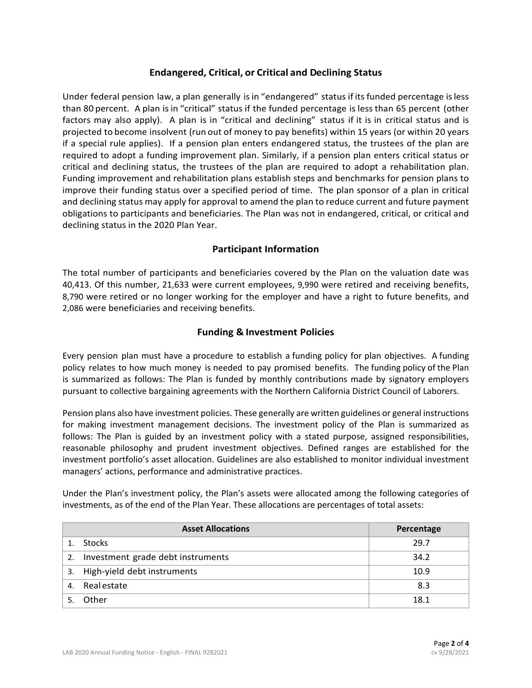#### **Endangered, Critical, or Critical and Declining Status**

Under federal pension law, a plan generally isin "endangered" status if its funded percentage isless than 80 percent. A plan isin "critical" status if the funded percentage is less than 65 percent (other factors may also apply). A plan is in "critical and declining" status if it is in critical status and is projected to become insolvent (run out of money to pay benefits) within 15 years (or within 20 years if a special rule applies). If a pension plan enters endangered status, the trustees of the plan are required to adopt a funding improvement plan. Similarly, if a pension plan enters critical status or critical and declining status, the trustees of the plan are required to adopt a rehabilitation plan. Funding improvement and rehabilitation plans establish steps and benchmarks for pension plans to improve their funding status over a specified period of time. The plan sponsor of a plan in critical and declining status may apply for approval to amend the plan to reduce current and future payment obligations to participants and beneficiaries. The Plan was not in endangered, critical, or critical and declining status in the 2020 Plan Year.

#### **Participant Information**

The total number of participants and beneficiaries covered by the Plan on the valuation date was 40,413. Of this number, 21,633 were current employees, 9,990 were retired and receiving benefits, 8,790 were retired or no longer working for the employer and have a right to future benefits, and 2,086 were beneficiaries and receiving benefits.

#### **Funding & Investment Policies**

Every pension plan must have a procedure to establish a funding policy for plan objectives. A funding policy relates to how much money is needed to pay promised benefits. The funding policy of the Plan is summarized as follows: The Plan is funded by monthly contributions made by signatory employers pursuant to collective bargaining agreements with the Northern California District Council of Laborers.

Pension plans also have investment policies. These generally are written guidelines or general instructions for making investment management decisions. The investment policy of the Plan is summarized as follows: The Plan is guided by an investment policy with a stated purpose, assigned responsibilities, reasonable philosophy and prudent investment objectives. Defined ranges are established for the investment portfolio's asset allocation. Guidelines are also established to monitor individual investment managers' actions, performance and administrative practices.

Under the Plan's investment policy, the Plan's assets were allocated among the following categories of investments, as of the end of the Plan Year. These allocations are percentages of total assets:

| <b>Asset Allocations</b> |                                   | Percentage |
|--------------------------|-----------------------------------|------------|
|                          | <b>Stocks</b>                     | 29.7       |
| 2.                       | Investment grade debt instruments | 34.2       |
| 3.                       | High-yield debt instruments       | 10.9       |
| 4.                       | Realestate                        | 8.3        |
|                          | Other                             | 18.1       |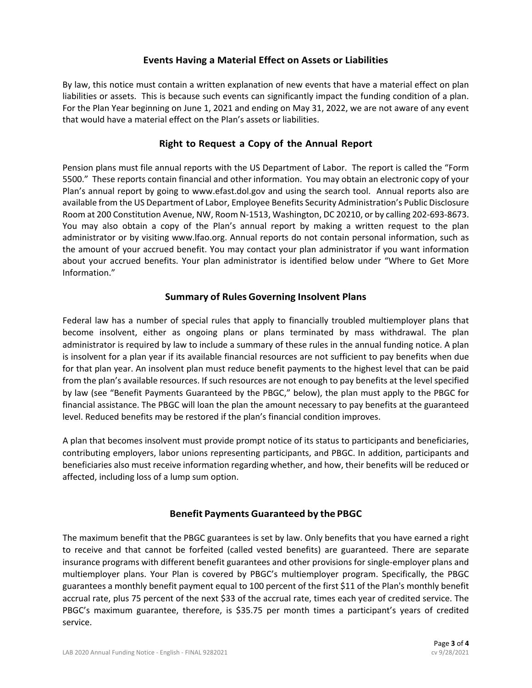### **Events Having a Material Effect on Assets or Liabilities**

By law, this notice must contain a written explanation of new events that have a material effect on plan liabilities or assets. This is because such events can significantly impact the funding condition of a plan. For the Plan Year beginning on June 1, 2021 and ending on May 31, 2022, we are not aware of any event that would have a material effect on the Plan's assets or liabilities.

## **Right to Request a Copy of the Annual Report**

Pension plans must file annual reports with the US Department of Labor. The report is called the "Form 5500." These reports contain financial and other information. You may obtain an electronic copy of your Plan's annual report by going to www.efast.dol.gov and using the search tool. Annual reports also are available from the US Department of Labor, Employee Benefits Security Administration's Public Disclosure Room at 200 Constitution Avenue, NW, Room N-1513, Washington, DC 20210, or by calling 202-693-8673. You may also obtain a copy of the Plan's annual report by making a written request to the plan administrator or by visiting www.lfao.org. Annual reports do not contain personal information, such as the amount of your accrued benefit. You may contact your plan administrator if you want information about your accrued benefits. Your plan administrator is identified below under "Where to Get More Information."

## **Summary of Rules Governing Insolvent Plans**

Federal law has a number of special rules that apply to financially troubled multiemployer plans that become insolvent, either as ongoing plans or plans terminated by mass withdrawal. The plan administrator is required by law to include a summary of these rules in the annual funding notice. A plan is insolvent for a plan year if its available financial resources are not sufficient to pay benefits when due for that plan year. An insolvent plan must reduce benefit payments to the highest level that can be paid from the plan's available resources. If such resources are not enough to pay benefits at the level specified by law (see "Benefit Payments Guaranteed by the PBGC," below), the plan must apply to the PBGC for financial assistance. The PBGC will loan the plan the amount necessary to pay benefits at the guaranteed level. Reduced benefits may be restored if the plan's financial condition improves.

A plan that becomes insolvent must provide prompt notice of its status to participants and beneficiaries, contributing employers, labor unions representing participants, and PBGC. In addition, participants and beneficiaries also must receive information regarding whether, and how, their benefits will be reduced or affected, including loss of a lump sum option.

### **Benefit Payments Guaranteed by the PBGC**

The maximum benefit that the PBGC guarantees is set by law. Only benefits that you have earned a right to receive and that cannot be forfeited (called vested benefits) are guaranteed. There are separate insurance programs with different benefit guarantees and other provisions for single-employer plans and multiemployer plans. Your Plan is covered by PBGC's multiemployer program. Specifically, the PBGC guarantees a monthly benefit payment equal to 100 percent of the first \$11 of the Plan's monthly benefit accrual rate, plus 75 percent of the next \$33 of the accrual rate, times each year of credited service. The PBGC's maximum guarantee, therefore, is \$35.75 per month times a participant's years of credited service.